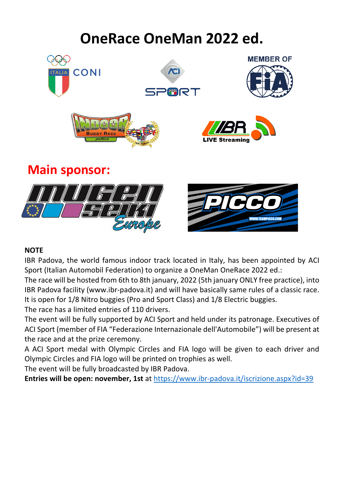# **OneRace OneMan 2022 ed.**



#### **NOTE**

IBR Padova, the world famous indoor track located in Italy, has been appointed by ACI Sport (Italian Automobil Federation) to organize a OneMan OneRace 2022 ed.:

The race will be hosted from 6th to 8th january, 2022 (5th january ONLY free practice), into IBR Padova facility (www.ibr-padova.it) and will have basically same rules of a classic race. It is open for 1/8 Nitro buggies (Pro and Sport Class) and 1/8 Electric buggies.

The race has a limited entries of 110 drivers.

The event will be fully supported by ACI Sport and held under its patronage. Executives of ACI Sport (member of FIA "Federazione Internazionale dell'Automobile") will be present at the race and at the prize ceremony.

A ACI Sport medal with Olympic Circles and FIA logo will be given to each driver and Olympic Circles and FIA logo will be printed on trophies as well.

The event will be fully broadcasted by IBR Padova.

**Entries will be open: november, 1st** at<https://www.ibr-padova.it/iscrizione.aspx?id=39>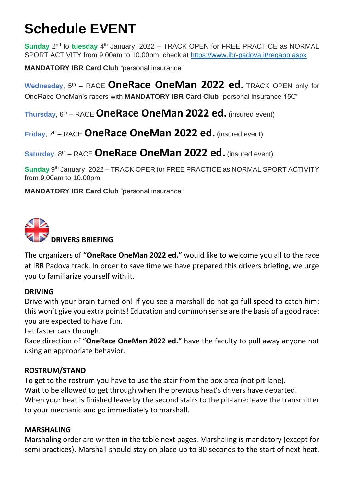# **Schedule EVENT**

**Sunday** 2<sup>nd</sup> to tuesday 4<sup>th</sup> January, 2022 – TRACK OPEN for FREE PRACTICE as NORMAL SPORT ACTIVITY from 9.00am to 10.00pm, check at<https://www.ibr-padova.it/regabb.aspx>

**MANDATORY IBR Card Club** "personal insurance"

Wednesday, 5<sup>th</sup> – RACE **OneRace OneMan 2022 ed.** TRACK OPEN only for OneRace OneMan's racers with **MANDATORY IBR Card Club** "personal insurance 15€"

**Thursday**, 6th – RACE **OneRace OneMan 2022 ed.** (insured event)

**Friday**, 7 <sup>h</sup> – RACE **OneRace OneMan 2022 ed.** (insured event)

# Saturday, 8<sup>th</sup> – RACE **OneRace OneMan 2022 ed.** (insured event)

Sunday 9<sup>th</sup> January, 2022 – TRACK OPER for FREE PRACTICE as NORMAL SPORT ACTIVITY from 9.00am to 10.00pm

**MANDATORY IBR Card Club** "personal insurance"



The organizers of **"OneRace OneMan 2022 ed."** would like to welcome you all to the race at IBR Padova track. In order to save time we have prepared this drivers briefing, we urge you to familiarize yourself with it.

# **DRIVING**

Drive with your brain turned on! If you see a marshall do not go full speed to catch him: this won't give you extra points! Education and common sense are the basis of a good race: you are expected to have fun.

Let faster cars through.

Race direction of "**OneRace OneMan 2022 ed."** have the faculty to pull away anyone not using an appropriate behavior.

# **ROSTRUM/STAND**

To get to the rostrum you have to use the stair from the box area (not pit-lane). Wait to be allowed to get through when the previous heat's drivers have departed. When your heat is finished leave by the second stairs to the pit-lane: leave the transmitter to your mechanic and go immediately to marshall.

# **MARSHALING**

Marshaling order are written in the table next pages. Marshaling is mandatory (except for semi practices). Marshall should stay on place up to 30 seconds to the start of next heat.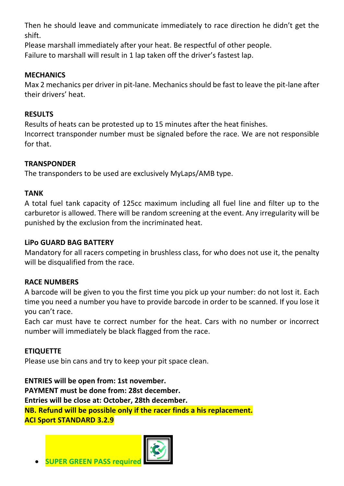Then he should leave and communicate immediately to race direction he didn't get the shift.

Please marshall immediately after your heat. Be respectful of other people. Failure to marshall will result in 1 lap taken off the driver's fastest lap.

# **MECHANICS**

Max 2 mechanics per driver in pit-lane. Mechanics should be fast to leave the pit-lane after their drivers' heat.

# **RESULTS**

Results of heats can be protested up to 15 minutes after the heat finishes. Incorrect transponder number must be signaled before the race. We are not responsible for that.

# **TRANSPONDER**

The transponders to be used are exclusively MyLaps/AMB type.

# **TANK**

A total fuel tank capacity of 125cc maximum including all fuel line and filter up to the carburetor is allowed. There will be random screening at the event. Any irregularity will be punished by the exclusion from the incriminated heat.

# **LiPo [GUARD](https://www.google.it/url?sa=t&rct=j&q=&esrc=s&source=web&cd=4&cad=rja&uact=8&ved=0ahUKEwj_oeDYr73VAhWHWhQKHV-YCHAQFghIMAM&url=https%3A%2F%2Fwww.amazon.it%2FGuard-Sacco-Antifuoco-spedizione-gratuita%2Fdp%2FB007NFWDGO&usg=AFQjCNE9Agy4jhqbsulPW2bP02NA7formg) BAG BATTERY**

Mandatory for all racers competing in brushless class, for who does not use it, the penalty will be disqualified from the race.

# **RACE NUMBERS**

A barcode will be given to you the first time you pick up your number: do not lost it. Each time you need a number you have to provide barcode in order to be scanned. If you lose it you can't race.

Each car must have te correct number for the heat. Cars with no number or incorrect number will immediately be black flagged from the race.

# **ETIQUETTE**

Please use bin cans and try to keep your pit space clean.

**ENTRIES will be open from: 1st november. PAYMENT must be done from: 28st december. Entries will be close at: October, 28th december. NB. Refund will be possible only if the racer finds a his replacement. ACI Sport STANDARD 3.2.9**



**SUPER GREEN PASS required**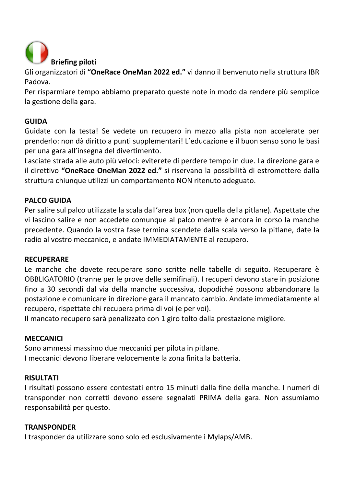

Gli organizzatori di **"OneRace OneMan 2022 ed."** vi danno il benvenuto nella struttura IBR Padova.

Per risparmiare tempo abbiamo preparato queste note in modo da rendere più semplice la gestione della gara.

# **GUIDA**

Guidate con la testa! Se vedete un recupero in mezzo alla pista non accelerate per prenderlo: non dà diritto a punti supplementari! L'educazione e il buon senso sono le basi per una gara all'insegna del divertimento.

Lasciate strada alle auto più veloci: eviterete di perdere tempo in due. La direzione gara e il direttivo **"OneRace OneMan 2022 ed."** si riservano la possibilità di estromettere dalla struttura chiunque utilizzi un comportamento NON ritenuto adeguato.

# **PALCO GUIDA**

Per salire sul palco utilizzate la scala dall'area box (non quella della pitlane). Aspettate che vi lascino salire e non accedete comunque al palco mentre è ancora in corso la manche precedente. Quando la vostra fase termina scendete dalla scala verso la pitlane, date la radio al vostro meccanico, e andate IMMEDIATAMENTE al recupero.

# **RECUPERARE**

Le manche che dovete recuperare sono scritte nelle tabelle di seguito. Recuperare è OBBLIGATORIO (tranne per le prove delle semifinali). I recuperi devono stare in posizione fino a 30 secondi dal via della manche successiva, dopodiché possono abbandonare la postazione e comunicare in direzione gara il mancato cambio. Andate immediatamente al recupero, rispettate chi recupera prima di voi (e per voi).

Il mancato recupero sarà penalizzato con 1 giro tolto dalla prestazione migliore.

# **MECCANICI**

Sono ammessi massimo due meccanici per pilota in pitlane. I meccanici devono liberare velocemente la zona finita la batteria.

# **RISULTATI**

I risultati possono essere contestati entro 15 minuti dalla fine della manche. I numeri di transponder non corretti devono essere segnalati PRIMA della gara. Non assumiamo responsabilità per questo.

# **TRANSPONDER**

I trasponder da utilizzare sono solo ed esclusivamente i Mylaps/AMB.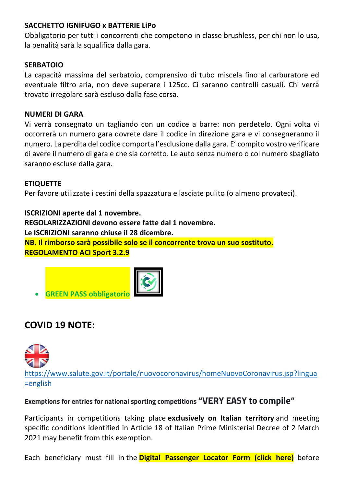# **SACCHETTO IGNIFUGO x BATTERIE LiPo**

Obbligatorio per tutti i concorrenti che competono in classe brushless, per chi non lo usa, la penalità sarà la squalifica dalla gara.

# **SERBATOIO**

La capacità massima del serbatoio, comprensivo di tubo miscela fino al carburatore ed eventuale filtro aria, non deve superare i 125cc. Ci saranno controlli casuali. Chi verrà trovato irregolare sarà escluso dalla fase corsa.

#### **NUMERI DI GARA**

Vi verrà consegnato un tagliando con un codice a barre: non perdetelo. Ogni volta vi occorrerà un numero gara dovrete dare il codice in direzione gara e vi consegneranno il numero. La perdita del codice comporta l'esclusione dalla gara. E' compito vostro verificare di avere il numero di gara e che sia corretto. Le auto senza numero o col numero sbagliato saranno escluse dalla gara.

# **ETIQUETTE**

Per favore utilizzate i cestini della spazzatura e lasciate pulito (o almeno provateci).

**ISCRIZIONI aperte dal 1 novembre. REGOLARIZZAZIONI devono essere fatte dal 1 novembre. Le ISCRIZIONI saranno chiuse il 28 dicembre. NB. Il rimborso sarà possibile solo se il concorrente trova un suo sostituto. REGOLAMENTO ACI Sport 3.2.9**



# **COVID 19 NOTE:**



[https://www.salute.gov.it/portale/nuovocoronavirus/homeNuovoCoronavirus.jsp?lingua](https://www.salute.gov.it/portale/nuovocoronavirus/homeNuovoCoronavirus.jsp?lingua=english) [=english](https://www.salute.gov.it/portale/nuovocoronavirus/homeNuovoCoronavirus.jsp?lingua=english)

# **Exemptions for entries for national sporting competitions "VERY EASY to compile"**

Participants in competitions taking place **exclusively on Italian territory** and meeting specific conditions identified in Article 18 of Italian Prime Ministerial Decree of 2 March 2021 may benefit from this exemption.

Each beneficiary must fill in the **[Digital Passenger Locator Form](http://app.euplf.eu/#http://app.euplf.eu/) (click here)** before